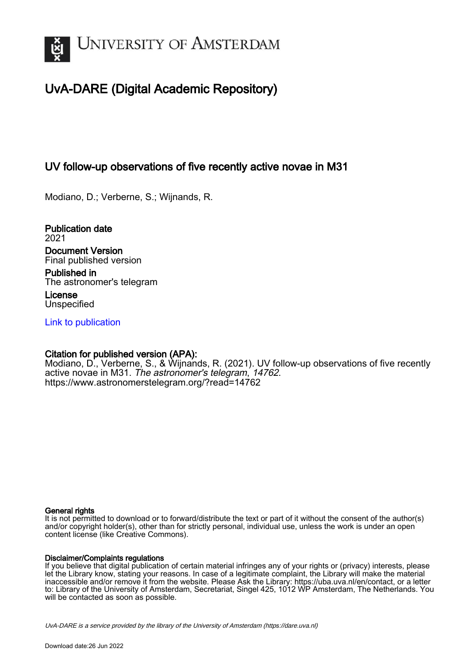

# UvA-DARE (Digital Academic Repository)

# UV follow-up observations of five recently active novae in M31

Modiano, D.; Verberne, S.; Wijnands, R.

Publication date 2021 Document Version Final published version

Published in The astronomer's telegram

License **Unspecified** 

[Link to publication](https://dare.uva.nl/personal/pure/en/publications/uv-followup-observations-of-five-recently-active-novae-in-m31(b45b30f3-1bc8-473c-a54c-be0b54a2c9bd).html)

### Citation for published version (APA):

Modiano, D., Verberne, S., & Wijnands, R. (2021). UV follow-up observations of five recently active novae in M31. The astronomer's telegram, 14762. <https://www.astronomerstelegram.org/?read=14762>

#### General rights

It is not permitted to download or to forward/distribute the text or part of it without the consent of the author(s) and/or copyright holder(s), other than for strictly personal, individual use, unless the work is under an open content license (like Creative Commons).

#### Disclaimer/Complaints regulations

If you believe that digital publication of certain material infringes any of your rights or (privacy) interests, please let the Library know, stating your reasons. In case of a legitimate complaint, the Library will make the material inaccessible and/or remove it from the website. Please Ask the Library: https://uba.uva.nl/en/contact, or a letter to: Library of the University of Amsterdam, Secretariat, Singel 425, 1012 WP Amsterdam, The Netherlands. You will be contacted as soon as possible.

UvA-DARE is a service provided by the library of the University of Amsterdam (http*s*://dare.uva.nl)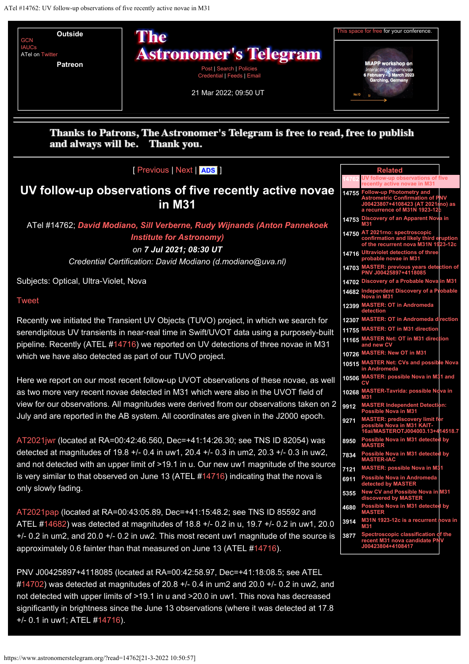<span id="page-1-0"></span>

## Thanks to Patrons, The Astronomer's Telegram is free to read, free to publish and always will be. Thank you.

### [ [Previous](https://www.astronomerstelegram.org/?read=14761) | [Next](https://www.astronomerstelegram.org/?read=14763) | **[ADS](https://ui.adsabs.harvard.edu/search/q=bibstem%3A%22ATel14762%22)** ]

# **UV follow-up observations of five recently active novae in M31**

## ATel #14762; *[David Modiano, Sill Verberne, Rudy Wijnands \(Anton Pannekoek](mailto:d.modiano@uva.nl) [Institute for Astronomy\)](mailto:d.modiano@uva.nl) on 7 Jul 2021; 08:30 UT*

*Credential Certification: David Modiano (d.modiano@uva.nl)*

Subjects: Optical, Ultra-Violet, Nova

### [Tweet](https://twitter.com/share?ref_src=twsrc%5Etfw)

Recently we initiated the Transient UV Objects (TUVO) project, in which we search for serendipitous UV transients in near-real time in Swift/UVOT data using a purposely-built pipeline. Recently (ATEL [#14716](https://www.astronomerstelegram.org/?read=14716)) we reported on UV detections of three novae in M31 which we have also detected as part of our TUVO project.

Here we report on our most recent follow-up UVOT observations of these novae, as well as two more very recent novae detected in M31 which were also in the UVOT field of view for our observations. All magnitudes were derived from our observations taken on 2 July and are reported in the AB system. All coordinates are given in the J2000 epoch.

[AT2021jwr](https://wis-tns.weizmann.ac.il/object/2021jwr) (located at RA=00:42:46.560, Dec=+41:14:26.30; see TNS ID 82054) was detected at magnitudes of 19.8 +/- 0.4 in uw1, 20.4 +/- 0.3 in um2, 20.3 +/- 0.3 in uw2, and not detected with an upper limit of >19.1 in u. Our new uw1 magnitude of the source is very similar to that observed on June 13 (ATEL [#14716](https://www.astronomerstelegram.org/?read=14716)) indicating that the nova is only slowly fading.

[AT2021pap](https://wis-tns.weizmann.ac.il/object/2021pap) (located at RA=00:43:05.89, Dec=+41:15:48.2; see TNS ID 85592 and ATEL #[14682](https://www.astronomerstelegram.org/?read=14682)) was detected at magnitudes of 18.8 +/- 0.2 in u, 19.7 +/- 0.2 in uw1, 20.0 +/- 0.2 in um2, and 20.0 +/- 0.2 in uw2. This most recent uw1 magnitude of the source is approximately 0.6 fainter than that measured on June 13 (ATEL #[14716](https://www.astronomerstelegram.org/?read=14716)).

PNV J00425897+4118085 (located at RA=00:42:58.97, Dec=+41:18:08.5; see ATEL  $\#14702$  $\#14702$ ) was detected at magnitudes of 20.8 +/- 0.4 in um2 and 20.0 +/- 0.2 in uw2, and not detected with upper limits of >19.1 in u and >20.0 in uw1. This nova has decreased significantly in brightness since the June 13 observations (where it was detected at 17.8 +/- 0.1 in uw1; ATEL [#14716](https://www.astronomerstelegram.org/?read=14716)).

|       | <b>Related</b>                                                                                                                          |
|-------|-----------------------------------------------------------------------------------------------------------------------------------------|
|       | JV follow-up observations of five<br>recently active novae in M31                                                                       |
|       | 14755 Follow-up Photometry and<br>Astrometric Confirmation of PNV<br>J00423807+4108423 (AT 2021nno) as<br>a recurrence of M31N 1923-12c |
| 14753 | <b>Discovery of an Apparent Nov</b><br>a in<br>M31                                                                                      |
| 14750 | AT 2021rno: spectroscopic<br>confirmation and likely third eruption<br>of the recurrent nova M31N 1923-12c                              |
| 14716 | <b>Ultraviolet detections of three</b><br>probable novae in M31                                                                         |
| 14703 | <b>MASTER: previous years dete</b><br>ction of<br>PNV J00425897+4118085                                                                 |
| 14702 | Discovery of a Probable Nova in M31                                                                                                     |
| 14682 | Independent Discovery of a P<br>Nova in M31<br>obable                                                                                   |
| 12399 | <b>MASTER: OT in Andromeda</b><br>detection                                                                                             |
| 12307 | <b>MASTER: OT in Andromeda direction</b>                                                                                                |
| 11755 | <b>MASTER: OT in M31 direction</b>                                                                                                      |
| 11165 | <b>MASTER Net: OT in M31 direction</b><br>and new C\                                                                                    |
| 10726 | <b>MASTER: New OT in M31</b>                                                                                                            |
| 10515 | <b>MASTER Net: CVs and possible Nova</b><br>in Andromeda                                                                                |
| 10506 | <b>MASTER: possible Nova in M31 and</b><br>n                                                                                            |
| 10268 | <b>MASTER-Tavrida: possible Nova in</b><br>M31                                                                                          |
| 9912  | <b>MASTER Independent Detection:</b><br>sible Nova in M31<br>Pos                                                                        |
| 9271  | MASTER: prediscovery limit fo<br>possible Nova in M31 KAIT-<br>16ai/MASTEROTJ004003.13+4<br>4518.7                                      |
| 8950  | <b>Possible Nova in M31 detecte</b><br>by<br><b>MASTER</b>                                                                              |
| 7834  | Possible Nova in M31 detected by<br><b>MASTER-IAC</b>                                                                                   |
| 7121  | <b>MASTER: possible Nova in M3</b><br>1                                                                                                 |
| 6911  | <b>Possible Nova in Andromeda</b><br>detected by MASTER                                                                                 |
| 5355  | New CV and Possible Nova in M31<br>discovered by MASTE                                                                                  |
| 4680  | Possible Nova in M31 detected by<br><b>IASTER</b>                                                                                       |
| 3914  | M31N 1923-12c is a recurrent nova in<br>M31                                                                                             |
| 3877  | Spectroscopic classification of the<br>Processor Provident Procent<br>recent M31 nova candidate P<br>J00423804+4108417<br>r             |